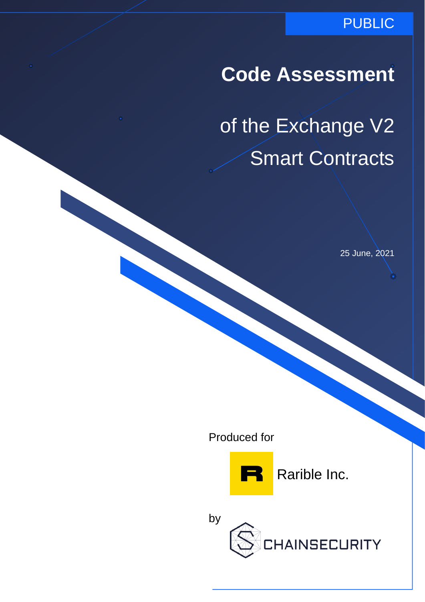### PUBLIC

# **Code Assessment**

of the Exchange V2 Smart Contracts

25 June, 2021

Produced for



Rarible Inc.

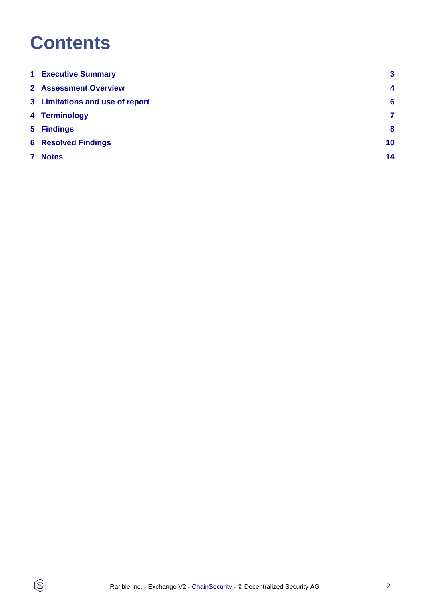# **Contents**

 $\circledS$ 

| <b>1 Executive Summary</b>      | 3                |
|---------------------------------|------------------|
| <b>2 Assessment Overview</b>    | $\boldsymbol{4}$ |
| 3 Limitations and use of report | $6\phantom{1}6$  |
| 4 Terminology                   | 7                |
| 5 Findings                      | 8                |
| <b>6 Resolved Findings</b>      | 10               |
| <b>Notes</b>                    | 14               |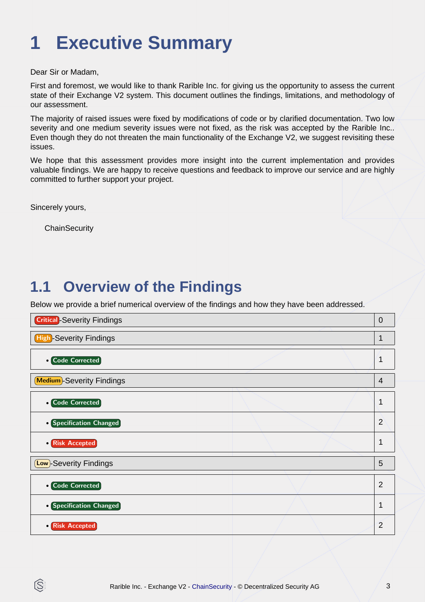# <span id="page-2-0"></span>**1 Executive Summary**

Dear Sir or Madam,

First and foremost, we would like to thank Rarible Inc. for giving us the opportunity to assess the current state of their Exchange V2 system. This document outlines the findings, limitations, and methodology of our assessment.

The majority of raised issues were fixed by modifications of code or by clarified documentation. Two low severity and one medium severity issues were not fixed, as the risk was accepted by the Rarible Inc.. Even though they do not threaten the main functionality of the Exchange V2, we suggest revisiting these issues.

We hope that this assessment provides more insight into the current implementation and provides valuable findings. We are happy to receive questions and feedback to improve our service and are highly committed to further support your project.

Sincerely yours,

IS

**ChainSecurity** 

## **1.1 Overview of the Findings**

Below we provide a brief numerical overview of the findings and how they have been addressed.

| <b>Critical</b> -Severity Findings | $\overline{0}$ |
|------------------------------------|----------------|
| <b>High-Severity Findings</b>      | 1              |
| <b>• Code Corrected</b>            | 1              |
| <b>Medium</b> -Severity Findings   | 4              |
| <b>• Code Corrected</b>            | $\mathbf 1$    |
| • Specification Changed            | $\overline{2}$ |
| • Risk Accepted                    | 1              |
| <b>Low</b> )-Severity Findings     | 5              |
| • Code Corrected                   | $\overline{2}$ |
| • Specification Changed            | 1              |
| • Risk Accepted                    | $\overline{2}$ |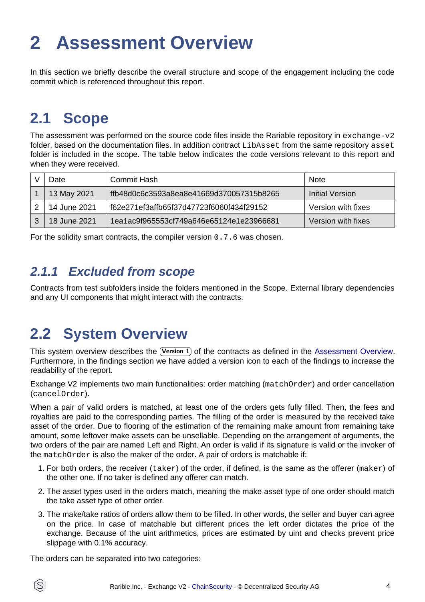# <span id="page-3-1"></span><span id="page-3-0"></span>**2 Assessment Overview**

In this section we briefly describe the overall structure and scope of the engagement including the code commit which is referenced throughout this report.

## **2.1 Scope**

The assessment was performed on the source code files inside the Rariable repository in exchange-v2 folder, based on the documentation files. In addition contract LibAsset from the same repository asset folder is included in the scope. The table below indicates the code versions relevant to this report and when they were received.

| Date         | Commit Hash                              | <b>Note</b>        |
|--------------|------------------------------------------|--------------------|
| 13 May 2021  | ffb48d0c6c3593a8ea8e41669d370057315b8265 | Initial Version    |
| 14 June 2021 | f62e271ef3affb65f37d47723f6060f434f29152 | Version with fixes |
| 18 June 2021 | 1ea1ac9f965553cf749a646e65124e1e23966681 | Version with fixes |

For the solidity smart contracts, the compiler version 0.7.6 was chosen.

### **2.1.1 Excluded from scope**

Contracts from test subfolders inside the folders mentioned in the Scope. External library dependencies and any UI components that might interact with the contracts.

## **2.2 System Overview**

This system overview describes the  $($ Version 1 $)$  of the contracts as defined in t[he Assessment Overview.](#page-3-1) Furthermore, in the findings section we have added a version icon to each of the findings to increase the readability of the report.

Exchange V2 implements two main functionalities: order matching (matchOrder) and order cancellation (cancelOrder).

When a pair of valid orders is matched, at least one of the orders gets fully filled. Then, the fees and royalties are paid to the corresponding parties. The filling of the order is measured by the received take asset of the order. Due to flooring of the estimation of the remaining make amount from remaining take amount, some leftover make assets can be unsellable. Depending on the arrangement of arguments, the two orders of the pair are named Left and Right. An order is valid if its signature is valid or the invoker of the matchOrder is also the maker of the order. A pair of orders is matchable if:

- 1. For both orders, the receiver (taker) of the order, if defined, is the same as the offerer (maker) of the other one. If no taker is defined any offerer can match.
- 2. The asset types used in the orders match, meaning the make asset type of one order should match the take asset type of other order.
- 3. The make/take ratios of orders allow them to be filled. In other words, the seller and buyer can agree on the price. In case of matchable but different prices the left order dictates the price of the exchange. Because of the uint arithmetics, prices are estimated by uint and checks prevent price slippage with 0.1% accuracy.

The orders can be separated into two categories:

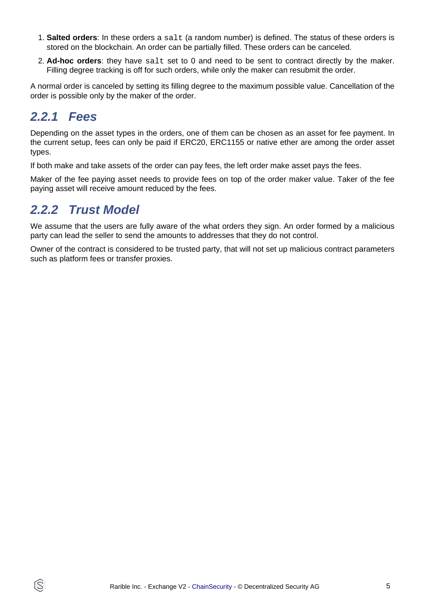- 1. **Salted orders**: In these orders a salt (a random number) is defined. The status of these orders is stored on the blockchain. An order can be partially filled. These orders can be canceled.
- 2. **Ad-hoc orders**: they have salt set to 0 and need to be sent to contract directly by the maker. Filling degree tracking is off for such orders, while only the maker can resubmit the order.

A normal order is canceled by setting its filling degree to the maximum possible value. Cancellation of the order is possible only by the maker of the order.

### **2.2.1 Fees**

ĺS

Depending on the asset types in the orders, one of them can be chosen as an asset for fee payment. In the current setup, fees can only be paid if ERC20, ERC1155 or native ether are among the order asset types.

If both make and take assets of the order can pay fees, the left order make asset pays the fees.

Maker of the fee paying asset needs to provide fees on top of the order maker value. Taker of the fee paying asset will receive amount reduced by the fees.

### **2.2.2 Trust Model**

We assume that the users are fully aware of the what orders they sign. An order formed by a malicious party can lead the seller to send the amounts to addresses that they do not control.

Owner of the contract is considered to be trusted party, that will not set up malicious contract parameters such as platform fees or transfer proxies.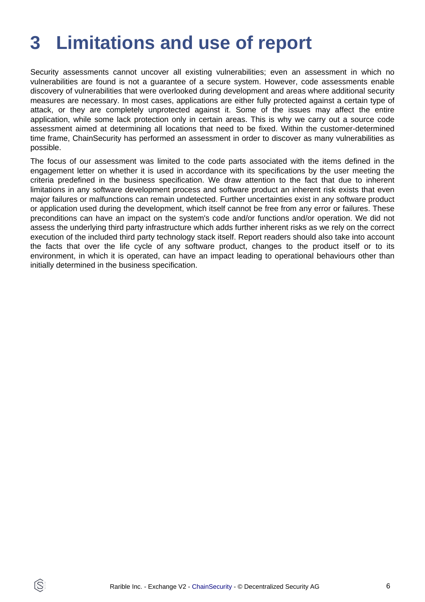# <span id="page-5-0"></span>**3 Limitations and use of report**

Security assessments cannot uncover all existing vulnerabilities; even an assessment in which no vulnerabilities are found is not a guarantee of a secure system. However, code assessments enable discovery of vulnerabilities that were overlooked during development and areas where additional security measures are necessary. In most cases, applications are either fully protected against a certain type of attack, or they are completely unprotected against it. Some of the issues may affect the entire application, while some lack protection only in certain areas. This is why we carry out a source code assessment aimed at determining all locations that need to be fixed. Within the customer-determined time frame, ChainSecurity has performed an assessment in order to discover as many vulnerabilities as possible.

The focus of our assessment was limited to the code parts associated with the items defined in the engagement letter on whether it is used in accordance with its specifications by the user meeting the criteria predefined in the business specification. We draw attention to the fact that due to inherent limitations in any software development process and software product an inherent risk exists that even major failures or malfunctions can remain undetected. Further uncertainties exist in any software product or application used during the development, which itself cannot be free from any error or failures. These preconditions can have an impact on the system's code and/or functions and/or operation. We did not assess the underlying third party infrastructure which adds further inherent risks as we rely on the correct execution of the included third party technology stack itself. Report readers should also take into account the facts that over the life cycle of any software product, changes to the product itself or to its environment, in which it is operated, can have an impact leading to operational behaviours other than initially determined in the business specification.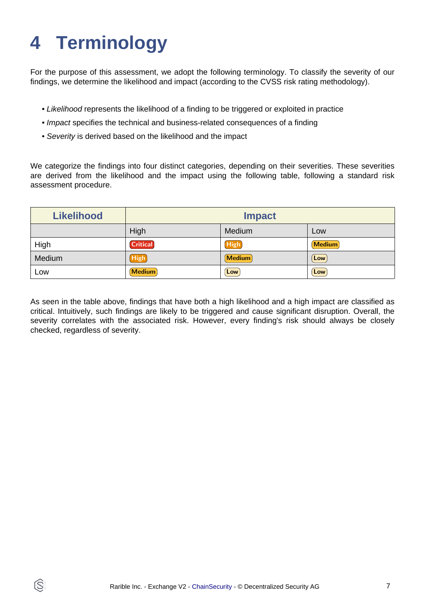# <span id="page-6-0"></span>**4 Terminology**

ĺS

For the purpose of this assessment, we adopt the following terminology. To classify the severity of our findings, we determine the likelihood and impact (according to the CVSS risk rating methodology).

- Likelihood represents the likelihood of a finding to be triggered or exploited in practice
- Impact specifies the technical and business-related consequences of a finding
- Severity is derived based on the likelihood and the impact

We categorize the findings into four distinct categories, depending on their severities. These severities are derived from the likelihood and the impact using the following table, following a standard risk assessment procedure.

| <b>Likelihood</b> | <b>Impact</b>   |             |               |
|-------------------|-----------------|-------------|---------------|
|                   | High            | Medium      | Low           |
| High              | <b>Critical</b> | High        | <b>Medium</b> |
| Medium            | <b>High</b>     | Medium      | Low           |
| LOW               | <b>Medium</b>   | $[$ Low $]$ | Low           |

As seen in the table above, findings that have both a high likelihood and a high impact are classified as critical. Intuitively, such findings are likely to be triggered and cause significant disruption. Overall, the severity correlates with the associated risk. However, every finding's risk should always be closely checked, regardless of severity.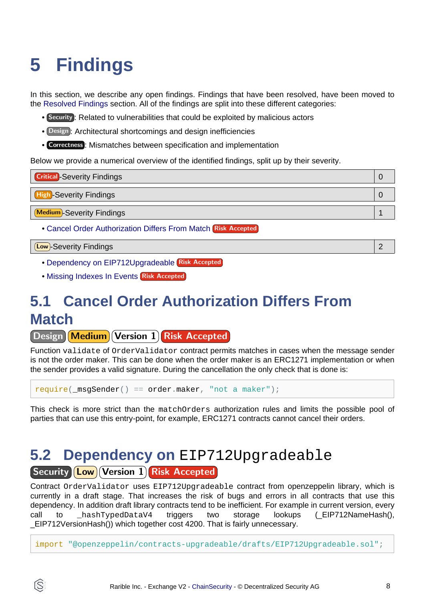# <span id="page-7-3"></span><span id="page-7-0"></span>**5 Findings**

In this section, we describe any open findings. Findings that have been resolved, have been moved to the [Resolved Findings](#page-9-1) section. All of the findings are split into these different categories:

- Security : Related to vulnerabilities that could be exploited by malicious actors
- Design : Architectural shortcomings and design inefficiencies
- Correctness : Mismatches between specification and implementation

Below we provide a numerical overview of the identified findings, split up by their severity.

| <b>Critical</b> -Severity Findings                            |  |
|---------------------------------------------------------------|--|
| <b>High-Severity Findings</b>                                 |  |
| <b>Medium</b> -Severity Findings                              |  |
| • Cancel Order Authorization Differs From Match Risk Accepted |  |

Low -Severity Findings 2

- [Dependency on EIP712Upgradeable](#page-7-2) Risk Accepted
- [Missing Indexes In Events](#page-8-0) Risk Accepted

## <span id="page-7-1"></span>**5.1 Cancel Order Authorization Differs From Match**

**Design Medium Version 1 Risk Accepted** 

Function validate of OrderValidator contract permits matches in cases when the message sender is not the order maker. This can be done when the order maker is an ERC1271 implementation or when the sender provides a valid signature. During the cancellation the only check that is done is:

require( $\text{msgSender}() == \text{order}.\text{maker}, \text{"not a maker"}$ );

This check is more strict than the matchOrders authorization rules and limits the possible pool of parties that can use this entry-point, for example, ERC1271 contracts cannot cancel their orders.

### <span id="page-7-2"></span>**5.2 Dependency on** EIP712Upgradeable **Security Low Version 1 Risk Accepted**

Contract OrderValidator uses EIP712Upgradeable contract from openzeppelin library, which is currently in a draft stage. That increases the risk of bugs and errors in all contracts that use this dependency. In addition draft library contracts tend to be inefficient. For example in current version, every call to hashTypedDataV4 triggers two storage lookups (EIP712NameHash(), \_EIP712VersionHash()) which together cost 4200. That is fairly unnecessary.

import "@openzeppelin/contracts-upgradeable/drafts/EIP712Upgradeable.sol";

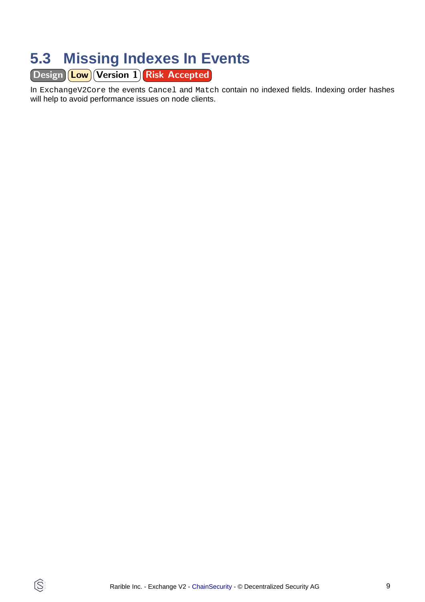## <span id="page-8-0"></span>**5.3 Missing Indexes In Events**

Design Low Version 1 Risk Accepted

In ExchangeV2Core the events Cancel and Match contain no indexed fields. Indexing order hashes will help to avoid performance issues on node clients.

 $\circledS$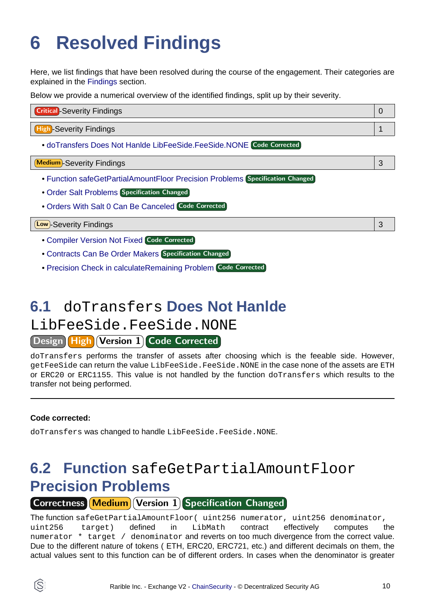# <span id="page-9-1"></span><span id="page-9-0"></span>**6 Resolved Findings**

Here, we list findings that have been resolved during the course of the engagement. Their categories are explained in the [Findings](#page-7-3) section.

Below we provide a numerical overview of the identified findings, split up by their severity.

| <b>Critical</b> -Severity Findings |  |
|------------------------------------|--|
| <b>High</b> Severity Findings      |  |

• [doTransfers Does Not Hanlde LibFeeSide.FeeSide.NONE](#page-9-2) Code Corrected

Medium -Severity Findings 3

- [Function safeGetPartialAmountFloor Precision Problems](#page-9-3) Specification Changed
- [Order Salt Problems](#page-10-0) Specification Changed
- [Orders With Salt 0 Can Be Canceled](#page-10-1) Code Corrected

#### Low -Severity Findings 3

- [Compiler Version Not Fixed](#page-11-0) Code Corrected
- [Contracts Can Be Order Makers](#page-11-1) Specification Changed
- [Precision Check in calculateRemaining Problem](#page-11-2) Code Corrected

## <span id="page-9-2"></span>**6.1** doTransfers **Does Not Hanlde**

### LibFeeSide.FeeSide.NONE

Design High Version 1 Code Corrected

doTransfers performs the transfer of assets after choosing which is the feeable side. However, getFeeSide can return the value LibFeeSide.FeeSide.NONE in the case none of the assets are ETH or ERC20 or ERC1155. This value is not handled by the function doTransfers which results to the transfer not being performed.

#### **Code corrected:**

doTransfers was changed to handle LibFeeSide.FeeSide.NONE.

## <span id="page-9-3"></span>**6.2 Function** safeGetPartialAmountFloor **Precision Problems**

### Correctness Medium Version 1 Specification Changed

The function safeGetPartialAmountFloor( uint256 numerator, uint256 denominator, uint256 target) defined in LibMath contract effectively computes the numerator \* target / denominator and reverts on too much divergence from the correct value. Due to the different nature of tokens ( ETH, ERC20, ERC721, etc.) and different decimals on them, the actual values sent to this function can be of different orders. In cases when the denominator is greater

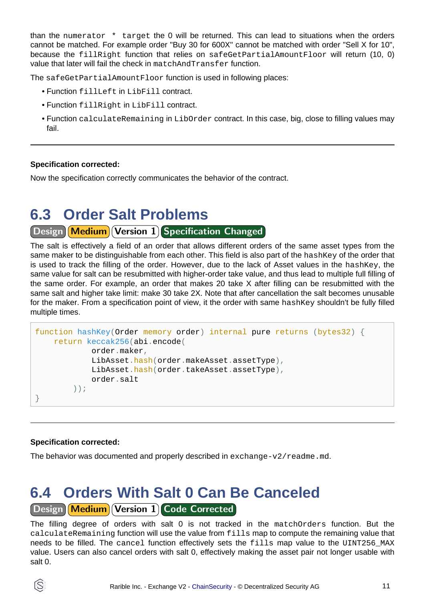than the numerator \* target the 0 will be returned. This can lead to situations when the orders cannot be matched. For example order "Buy 30 for 600X" cannot be matched with order "Sell X for 10", because the fillRight function that relies on safeGetPartialAmountFloor will return (10, 0) value that later will fail the check in matchAndTransfer function.

The safeGetPartialAmountFloor function is used in following places:

- Function fillLeft in LibFill contract.
- Function fillRight in LibFill contract.
- Function calculateRemaining in LibOrder contract. In this case, big, close to filling values may fail.

#### **Specification corrected:**

Now the specification correctly communicates the behavior of the contract.

### <span id="page-10-0"></span>**6.3 Order Salt Problems**

#### Design Medium Version 1 Specification Changed

The salt is effectively a field of an order that allows different orders of the same asset types from the same maker to be distinguishable from each other. This field is also part of the hashKey of the order that is used to track the filling of the order. However, due to the lack of Asset values in the hashKey, the same value for salt can be resubmitted with higher-order take value, and thus lead to multiple full filling of the same order. For example, an order that makes 20 take X after filling can be resubmitted with the same salt and higher take limit: make 30 take 2X. Note that after cancellation the salt becomes unusable for the maker. From a specification point of view, it the order with same hashKey shouldn't be fully filled multiple times.

```
function hashKey(Order memory order) internal pure returns (bytes32) {
     return keccak256(abi.encode(
             order.maker,
             LibAsset.hash(order.makeAsset.assetType),
            LibAsset.hash(order.takeAsset.assetType),
             order.salt
         ));
}
```
#### **Specification corrected:**

The behavior was documented and properly described in  $exchange-v2/readme$ .md.

### <span id="page-10-1"></span>**6.4 Orders With Salt 0 Can Be Canceled** Design Medium Version 1 Code Corrected

The filling degree of orders with salt 0 is not tracked in the matchOrders function. But the calculateRemaining function will use the value from fills map to compute the remaining value that needs to be filled. The cancel function effectively sets the fills map value to the UINT256\_MAX value. Users can also cancel orders with salt 0, effectively making the asset pair not longer usable with salt 0.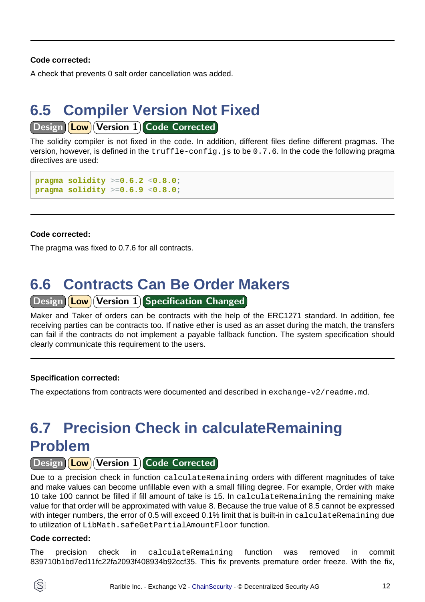#### **Code corrected:**

A check that prevents 0 salt order cancellation was added.

### <span id="page-11-0"></span>**6.5 Compiler Version Not Fixed** Design **Low** Version 1 Code Corrected

The solidity compiler is not fixed in the code. In addition, different files define different pragmas. The version, however, is defined in the truffle-config.js to be 0.7.6. In the code the following pragma directives are used:

```
pragma solidity >=0.6.2 <0.8.0;
pragma solidity >=0.6.9 <0.8.0;
```
#### **Code corrected:**

The pragma was fixed to 0.7.6 for all contracts.

### <span id="page-11-1"></span>**6.6 Contracts Can Be Order Makers**

#### Design **Low** Version 1 Specification Changed

Maker and Taker of orders can be contracts with the help of the ERC1271 standard. In addition, fee receiving parties can be contracts too. If native ether is used as an asset during the match, the transfers can fail if the contracts do not implement a payable fallback function. The system specification should clearly communicate this requirement to the users.

#### **Specification corrected:**

The expectations from contracts were documented and described in  $exchange-v2/readm$ .md.

## <span id="page-11-2"></span>**6.7 Precision Check in calculateRemaining Problem**

#### Design (Low) Version 1 Code Corrected

Due to a precision check in function calculateRemaining orders with different magnitudes of take and make values can become unfillable even with a small filling degree. For example, Order with make 10 take 100 cannot be filled if fill amount of take is 15. In calculateRemaining the remaining make value for that order will be approximated with value 8. Because the true value of 8.5 cannot be expressed with integer numbers, the error of 0.5 will exceed 0.1% limit that is built-in in calculateRemaining due to utilization of LibMath.safeGetPartialAmountFloor function.

#### **Code corrected:**

The precision check in calculateRemaining function was removed in commit 839710b1bd7ed11fc22fa2093f408934b92ccf35. This fix prevents premature order freeze. With the fix,

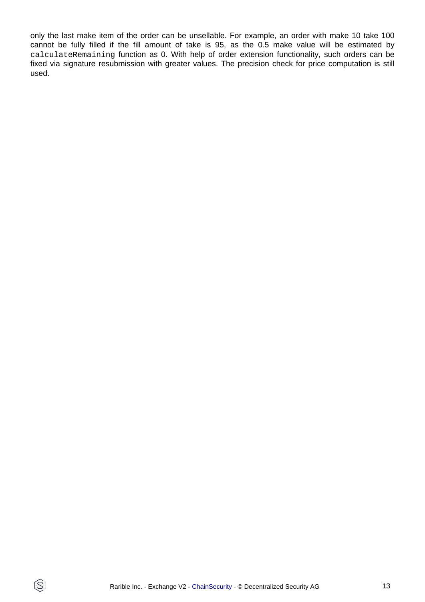only the last make item of the order can be unsellable. For example, an order with make 10 take 100 cannot be fully filled if the fill amount of take is 95, as the 0.5 make value will be estimated by calculateRemaining function as 0. With help of order extension functionality, such orders can be fixed via signature resubmission with greater values. The precision check for price computation is still used.

 $\circledS$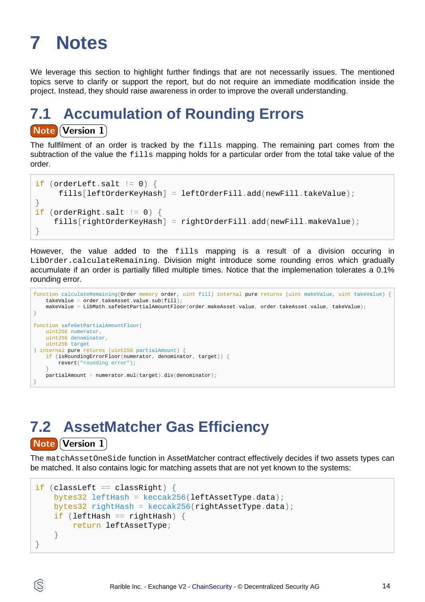# <span id="page-13-0"></span>**7 Notes**

We leverage this section to highlight further findings that are not necessarily issues. The mentioned topics serve to clarify or support the report, but do not require an immediate modification inside the project. Instead, they should raise awareness in order to improve the overall understanding.

## **7.1 Accumulation of Rounding Errors Note Version 1**

The fullfilment of an order is tracked by the fills mapping. The remaining part comes from the subtraction of the value the fills mapping holds for a particular order from the total take value of the order.

```
if (orderLeft.salt != 0) {
      fills[leftOrderKeyHash] = leftOrderFill.add(newFill.takeValue);
}
if (orderRight.salt != 0) {
     fills[rightOrderKeyHash] = rightOrderFill.add(newFill.makeValue);
}
```
However, the value added to the fills mapping is a result of a division occuring in LibOrder.calculateRemaining. Division might introduce some rounding erros which gradually accumulate if an order is partially filled multiple times. Notice that the implemenation tolerates a 0.1% rounding error.

```
function calculateRemaining(Order memory order, uint fill) internal pure returns (uint makeValue, uint takeValue) {
     takeValue = order.takeAsset.value.sub(fill);
     makeValue = LibMath.safeGetPartialAmountFloor(order.makeAsset.value, order.takeAsset.value, takeValue);
}
function safeGetPartialAmountFloor(
    uint256 numerator,
    uint256 denominator,
    uint256 target
) internal pure returns (uint256 partialAmount) {
     if (isRoundingErrorFloor(numerator, denominator, target)) {
        revert("rounding error");
 }
    partialAmount = numerator.mul(target).div(denominator);
}
```
## **7.2 AssetMatcher Gas Efficiency**

#### **Note Version 1**

The matchAssetOneSide function in AssetMatcher contract effectively decides if two assets types can be matched. It also contains logic for matching assets that are not yet known to the systems:

```
if (classLeft == classRight) {
     bytes32 leftHash = keccak256(leftAssetType.data);
     bytes32 rightHash = keccak256(rightAssetType.data);
     if (leftHash == rightHash) {
         return leftAssetType;
     }
}
```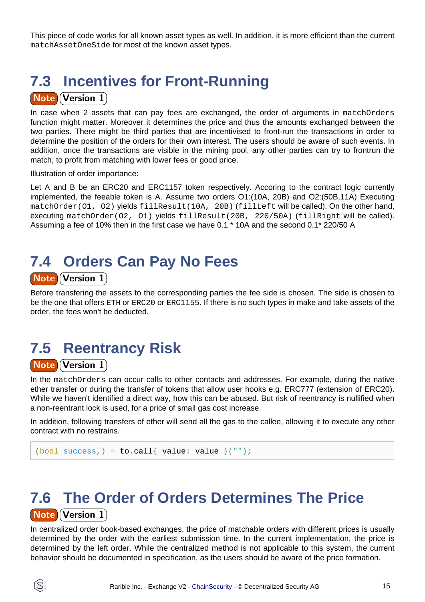This piece of code works for all known asset types as well. In addition, it is more efficient than the current matchAssetOneSide for most of the known asset types.

## **7.3 Incentives for Front-Running**

#### **Note Version 1**

In case when 2 assets that can pay fees are exchanged, the order of arguments in matchOrders function might matter. Moreover it determines the price and thus the amounts exchanged between the two parties. There might be third parties that are incentivised to front-run the transactions in order to determine the position of the orders for their own interest. The users should be aware of such events. In addition, once the transactions are visible in the mining pool, any other parties can try to frontrun the match, to profit from matching with lower fees or good price.

Illustration of order importance:

Let A and B be an ERC20 and ERC1157 token respectively. Accoring to the contract logic currently implemented, the feeable token is A. Assume two orders O1:(10A, 20B) and O2:(50B,11A) Executing matchOrder(O1, O2) yields fillResult(10A, 20B) (fillLeft will be called). On the other hand, executing matchOrder(O2, O1) yields fillResult(20B, 220/50A) (fillRight will be called). Assuming a fee of 10% then in the first case we have 0.1 \* 10A and the second 0.1\* 220/50 A

### **7.4 Orders Can Pay No Fees Note Version 1**

Before transfering the assets to the corresponding parties the fee side is chosen. The side is chosen to be the one that offers ETH or ERC20 or ERC1155. If there is no such types in make and take assets of the order, the fees won't be deducted.

## **7.5 Reentrancy Risk**

#### **Note Version 1**

In the matchOrders can occur calls to other contacts and addresses. For example, during the native ether transfer or during the transfer of tokens that allow user hooks e.g. ERC777 (extension of ERC20). While we haven't identified a direct way, how this can be abused. But risk of reentrancy is nullified when a non-reentrant lock is used, for a price of small gas cost increase.

In addition, following transfers of ether will send all the gas to the callee, allowing it to execute any other contract with no restrains.

```
(bool success,) = to.call{ value: value }("");
```
### **7.6 The Order of Orders Determines The Price Note Version 1**

In centralized order book-based exchanges, the price of matchable orders with different prices is usually determined by the order with the earliest submission time. In the current implementation, the price is determined by the left order. While the centralized method is not applicable to this system, the current behavior should be documented in specification, as the users should be aware of the price formation.